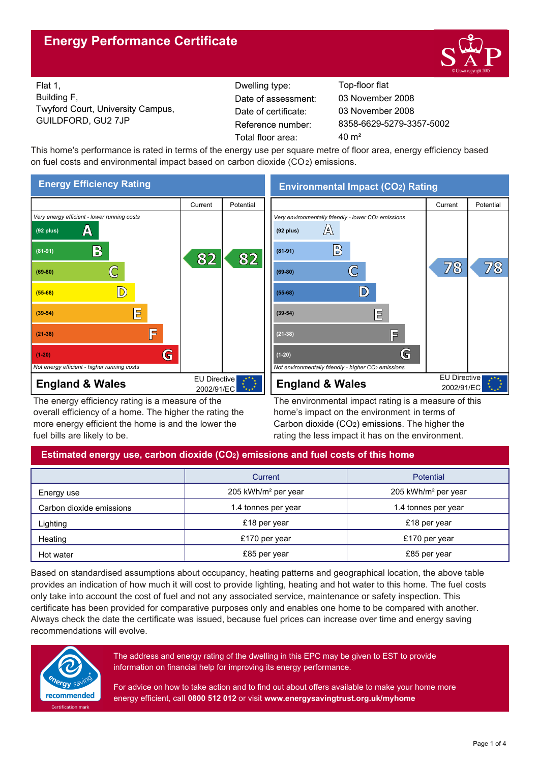# **Energy Performance Certificate**



Flat 1, Building F, Twyford Court, University Campus, GUILDFORD, GU2 7JP Reference number:

Dwelling type: Top-floor flat Date of certificate: Total floor area: 40 m<sup>2</sup> Date of assessment:

8358-6629-5279-3357-5002 03 November 2008 03 November 2008

This home's performance is rated in terms of the energy use per square metre of floor area, energy efficiency based on fuel costs and environmental impact based on carbon dioxide (CO2) emissions.



The energy efficiency rating is a measure of the overall efficiency of a home. The higher the rating the more energy efficient the home is and the lower the fuel bills are likely to be.

**Environmental Impact (CO2) Rating**



The environmental impact rating is a measure of this home's impact on the environment in terms of Carbon dioxide (CO2) emissions. The higher the rating the less impact it has on the environment.

# **Estimated energy use, carbon dioxide (CO2) emissions and fuel costs of this home**

|                          | Current                         | Potential                       |  |
|--------------------------|---------------------------------|---------------------------------|--|
| Energy use               | 205 kWh/m <sup>2</sup> per year | 205 kWh/m <sup>2</sup> per year |  |
| Carbon dioxide emissions | 1.4 tonnes per year             | 1.4 tonnes per year             |  |
| Lighting                 | £18 per year                    | £18 per year                    |  |
| Heating                  | £170 per year                   | £170 per year                   |  |
| Hot water                | £85 per year                    | £85 per year                    |  |

Based on standardised assumptions about occupancy, heating patterns and geographical location, the above table provides an indication of how much it will cost to provide lighting, heating and hot water to this home. The fuel costs only take into account the cost of fuel and not any associated service, maintenance or safety inspection. This certificate has been provided for comparative purposes only and enables one home to be compared with another. Always check the date the certificate was issued, because fuel prices can increase over time and energy saving recommendations will evolve.



The address and energy rating of the dwelling in this EPC may be given to EST to provide information on financial help for improving its energy performance.

For advice on how to take action and to find out about offers available to make your home more energy efficient, call **0800 512 012** or visit **www.energysavingtrust.org.uk/myhome**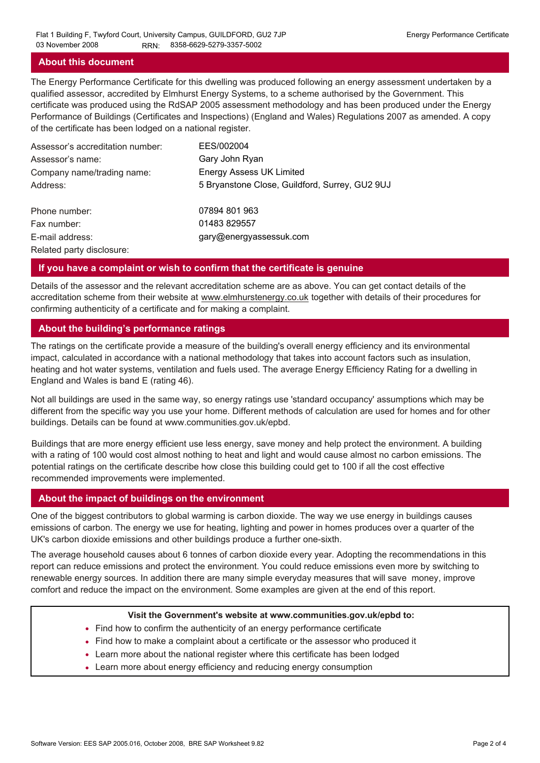# **About this document**

The Energy Performance Certificate for this dwelling was produced following an energy assessment undertaken by a qualified assessor, accredited by Elmhurst Energy Systems, to a scheme authorised by the Government. This certificate was produced using the RdSAP 2005 assessment methodology and has been produced under the Energy Performance of Buildings (Certificates and Inspections) (England and Wales) Regulations 2007 as amended. A copy of the certificate has been lodged on a national register.

| Assessor's accreditation number: | EES/002004                                     |
|----------------------------------|------------------------------------------------|
| Assessor's name:                 | Gary John Ryan                                 |
| Company name/trading name:       | <b>Energy Assess UK Limited</b>                |
| Address:                         | 5 Bryanstone Close, Guildford, Surrey, GU2 9UJ |
| Phone number:                    | 07894 801 963                                  |
| Fax number:                      | 01483 829557                                   |
| E-mail address:                  | gary@energyassessuk.com                        |
| Related party disclosure:        |                                                |

### **If you have a complaint or wish to confirm that the certificate is genuine**

Details of the assessor and the relevant accreditation scheme are as above. You can get contact details of the accreditation scheme from their website at www.elmhurstenergy.co.uk together with details of their procedures for confirming authenticity of a certificate and for making a complaint.

### **About the building's performance ratings**

The ratings on the certificate provide a measure of the building's overall energy efficiency and its environmental impact, calculated in accordance with a national methodology that takes into account factors such as insulation, heating and hot water systems, ventilation and fuels used. The average Energy Efficiency Rating for a dwelling in England and Wales is band E (rating 46).

Not all buildings are used in the same way, so energy ratings use 'standard occupancy' assumptions which may be different from the specific way you use your home. Different methods of calculation are used for homes and for other buildings. Details can be found at www.communities.gov.uk/epbd.

Buildings that are more energy efficient use less energy, save money and help protect the environment. A building with a rating of 100 would cost almost nothing to heat and light and would cause almost no carbon emissions. The potential ratings on the certificate describe how close this building could get to 100 if all the cost effective recommended improvements were implemented.

#### **About the impact of buildings on the environment**

One of the biggest contributors to global warming is carbon dioxide. The way we use energy in buildings causes emissions of carbon. The energy we use for heating, lighting and power in homes produces over a quarter of the UK's carbon dioxide emissions and other buildings produce a further one-sixth.

The average household causes about 6 tonnes of carbon dioxide every year. Adopting the recommendations in this report can reduce emissions and protect the environment. You could reduce emissions even more by switching to renewable energy sources. In addition there are many simple everyday measures that will save money, improve comfort and reduce the impact on the environment. Some examples are given at the end of this report.

#### **Visit the Government's website at www.communities.gov.uk/epbd to:**

- Find how to confirm the authenticity of an energy performance certificate
- Find how to make a complaint about a certificate or the assessor who produced it •
- Learn more about the national register where this certificate has been lodged •
- Learn more about energy efficiency and reducing energy consumption •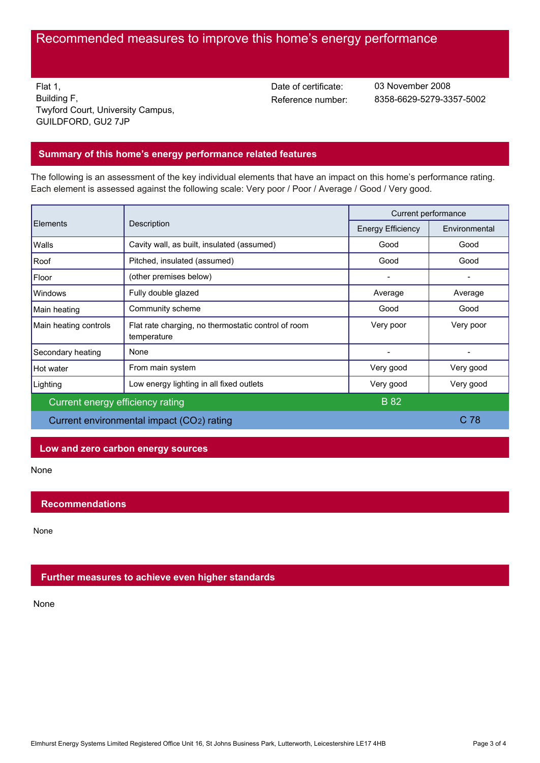# Recommended measures to improve this home's energy performance

Flat 1, Building F, Twyford Court, University Campus, GUILDFORD, GU2 7JP

Date of certificate:

Reference number: 8358-6629-5279-3357-5002 03 November 2008

# **Summary of this home's energy performance related features**

The following is an assessment of the key individual elements that have an impact on this home's performance rating. Each element is assessed against the following scale: Very poor / Poor / Average / Good / Very good.

| Elements                                  | Description                                                        | Current performance      |                 |
|-------------------------------------------|--------------------------------------------------------------------|--------------------------|-----------------|
|                                           |                                                                    | <b>Energy Efficiency</b> | Environmental   |
| Walls                                     | Cavity wall, as built, insulated (assumed)                         | Good                     | Good            |
| Roof                                      | Pitched, insulated (assumed)                                       | Good                     | Good            |
| Floor                                     | (other premises below)                                             |                          |                 |
| Windows                                   | Fully double glazed                                                | Average                  | Average         |
| Main heating                              | Community scheme                                                   | Good                     | Good            |
| Main heating controls                     | Flat rate charging, no thermostatic control of room<br>temperature | Very poor                | Very poor       |
| Secondary heating                         | None                                                               |                          |                 |
| Hot water                                 | From main system                                                   | Very good                | Very good       |
| Lighting                                  | Low energy lighting in all fixed outlets                           | Very good                | Very good       |
| Current energy efficiency rating          |                                                                    | <b>B</b> 82              |                 |
| Current environmental impact (CO2) rating |                                                                    |                          | C <sub>78</sub> |

#### **Low and zero carbon energy sources**

None

## **Recommendations**

None

## **Further measures to achieve even higher standards**

None